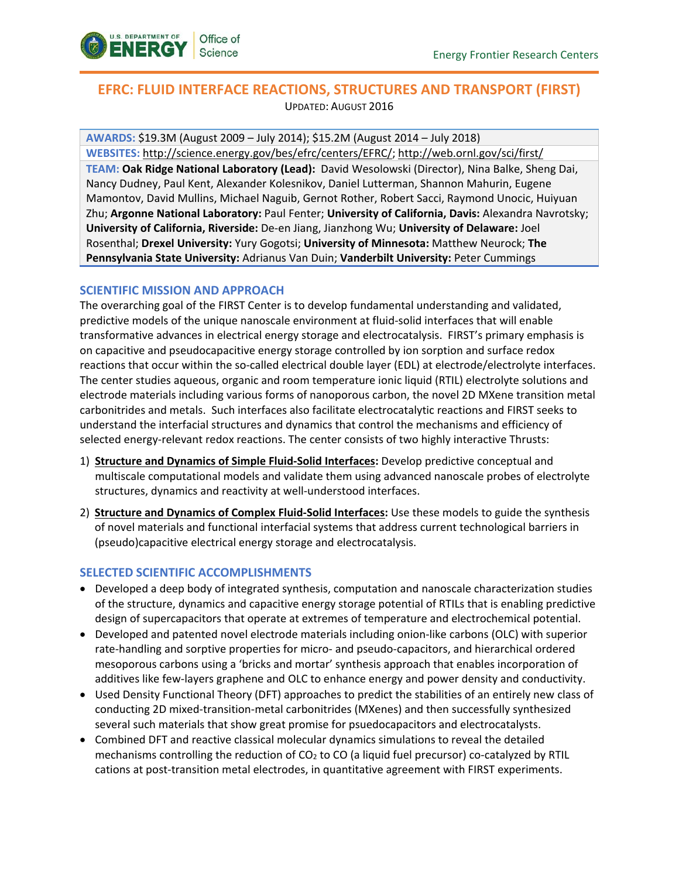

# **EFRC: FLUID INTERFACE REACTIONS, STRUCTURES AND TRANSPORT (FIRST)**  UPDATED: AUGUST 2016

**AWARDS:** \$19.3M (August 2009 – July 2014); \$15.2M (August 2014 – July 2018) **WEBSITES:** [http://science.energy.gov/bes/efrc/centers/EFRC/;](http://science.energy.gov/bes/efrc/centers/EFRC/)<http://web.ornl.gov/sci/first/> **TEAM: Oak Ridge National Laboratory (Lead):** David Wesolowski (Director), Nina Balke, Sheng Dai, Nancy Dudney, Paul Kent, Alexander Kolesnikov, Daniel Lutterman, Shannon Mahurin, Eugene Mamontov, David Mullins, Michael Naguib, Gernot Rother, Robert Sacci, Raymond Unocic, Huiyuan Zhu; **Argonne National Laboratory:** Paul Fenter; **University of California, Davis:** Alexandra Navrotsky; **University of California, Riverside:** De-en Jiang, Jianzhong Wu; **University of Delaware:** Joel Rosenthal; **Drexel University:** Yury Gogotsi; **University of Minnesota:** Matthew Neurock; **The Pennsylvania State University:** Adrianus Van Duin; **Vanderbilt University:** Peter Cummings

## **SCIENTIFIC MISSION AND APPROACH**

The overarching goal of the FIRST Center is to develop fundamental understanding and validated, predictive models of the unique nanoscale environment at fluid-solid interfaces that will enable transformative advances in electrical energy storage and electrocatalysis. FIRST's primary emphasis is on capacitive and pseudocapacitive energy storage controlled by ion sorption and surface redox reactions that occur within the so-called electrical double layer (EDL) at electrode/electrolyte interfaces. The center studies aqueous, organic and room temperature ionic liquid (RTIL) electrolyte solutions and electrode materials including various forms of nanoporous carbon, the novel 2D MXene transition metal carbonitrides and metals. Such interfaces also facilitate electrocatalytic reactions and FIRST seeks to understand the interfacial structures and dynamics that control the mechanisms and efficiency of selected energy-relevant redox reactions. The center consists of two highly interactive Thrusts:

- 1) **Structure and Dynamics of Simple Fluid-Solid Interfaces:** Develop predictive conceptual and multiscale computational models and validate them using advanced nanoscale probes of electrolyte structures, dynamics and reactivity at well-understood interfaces.
- 2) **Structure and Dynamics of Complex Fluid-Solid Interfaces:** Use these models to guide the synthesis of novel materials and functional interfacial systems that address current technological barriers in (pseudo)capacitive electrical energy storage and electrocatalysis.

## **SELECTED SCIENTIFIC ACCOMPLISHMENTS**

- Developed a deep body of integrated synthesis, computation and nanoscale characterization studies of the structure, dynamics and capacitive energy storage potential of RTILs that is enabling predictive design of supercapacitors that operate at extremes of temperature and electrochemical potential.
- Developed and patented novel electrode materials including onion-like carbons (OLC) with superior rate-handling and sorptive properties for micro- and pseudo-capacitors, and hierarchical ordered mesoporous carbons using a 'bricks and mortar' synthesis approach that enables incorporation of additives like few-layers graphene and OLC to enhance energy and power density and conductivity.
- Used Density Functional Theory (DFT) approaches to predict the stabilities of an entirely new class of conducting 2D mixed-transition-metal carbonitrides (MXenes) and then successfully synthesized several such materials that show great promise for psuedocapacitors and electrocatalysts.
- Combined DFT and reactive classical molecular dynamics simulations to reveal the detailed mechanisms controlling the reduction of  $CO<sub>2</sub>$  to CO (a liquid fuel precursor) co-catalyzed by RTIL cations at post-transition metal electrodes, in quantitative agreement with FIRST experiments.